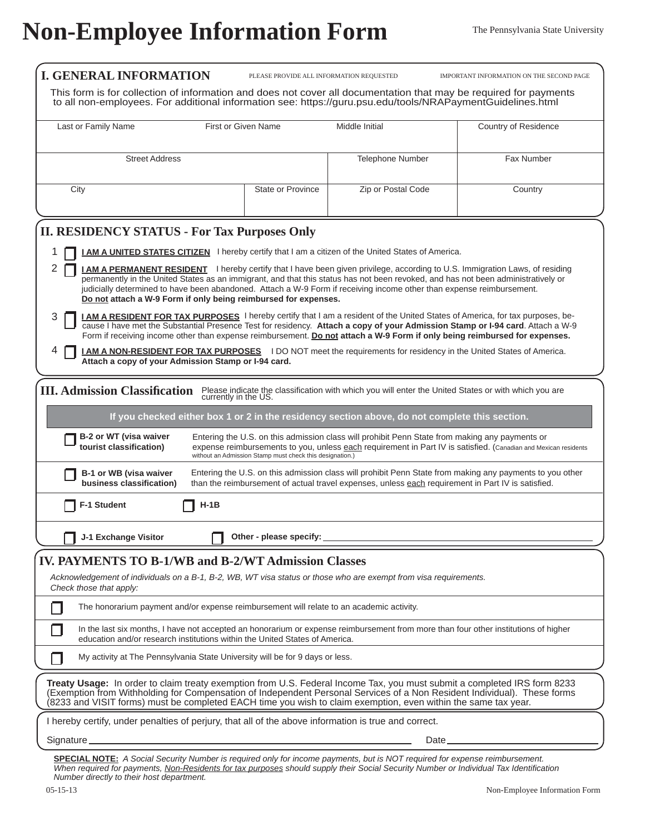## **Non-Employee Information Form** The Pennsylvania State University

| <b>I. GENERAL INFORMATION</b>                                                                                                                                                                                                                                                                                                                                                                                                                                                                                                                                                                                                                                                                                                                                                                                                                                 | PLEASE PROVIDE ALL INFORMATION REQUESTED                                                                                                                                                                                                                                      |                         | IMPORTANT INFORMATION ON THE SECOND PAGE |  |  |  |  |  |  |  |
|---------------------------------------------------------------------------------------------------------------------------------------------------------------------------------------------------------------------------------------------------------------------------------------------------------------------------------------------------------------------------------------------------------------------------------------------------------------------------------------------------------------------------------------------------------------------------------------------------------------------------------------------------------------------------------------------------------------------------------------------------------------------------------------------------------------------------------------------------------------|-------------------------------------------------------------------------------------------------------------------------------------------------------------------------------------------------------------------------------------------------------------------------------|-------------------------|------------------------------------------|--|--|--|--|--|--|--|
| This form is for collection of information and does not cover all documentation that may be required for payments<br>to all non-employees. For additional information see: https://guru.psu.edu/tools/NRAPaymentGuidelines.html                                                                                                                                                                                                                                                                                                                                                                                                                                                                                                                                                                                                                               |                                                                                                                                                                                                                                                                               |                         |                                          |  |  |  |  |  |  |  |
| Last or Family Name<br>First or Given Name                                                                                                                                                                                                                                                                                                                                                                                                                                                                                                                                                                                                                                                                                                                                                                                                                    |                                                                                                                                                                                                                                                                               | Middle Initial          | Country of Residence                     |  |  |  |  |  |  |  |
| <b>Street Address</b>                                                                                                                                                                                                                                                                                                                                                                                                                                                                                                                                                                                                                                                                                                                                                                                                                                         |                                                                                                                                                                                                                                                                               | <b>Telephone Number</b> | Fax Number                               |  |  |  |  |  |  |  |
| City                                                                                                                                                                                                                                                                                                                                                                                                                                                                                                                                                                                                                                                                                                                                                                                                                                                          | State or Province                                                                                                                                                                                                                                                             | Zip or Postal Code      | Country                                  |  |  |  |  |  |  |  |
| <b>II. RESIDENCY STATUS - For Tax Purposes Only</b>                                                                                                                                                                                                                                                                                                                                                                                                                                                                                                                                                                                                                                                                                                                                                                                                           |                                                                                                                                                                                                                                                                               |                         |                                          |  |  |  |  |  |  |  |
| <b>LAM A UNITED STATES CITIZEN</b> I hereby certify that I am a citizen of the United States of America.<br>2<br>I AM A PERMANENT RESIDENT I hereby certify that I have been given privilege, according to U.S. Immigration Laws, of residing<br>permanently in the United States as an immigrant, and that this status has not been revoked, and has not been administratively or<br>judicially determined to have been abandoned. Attach a W-9 Form if receiving income other than expense reimbursement.<br>Do not attach a W-9 Form if only being reimbursed for expenses.<br><b>I AM A RESIDENT FOR TAX PURPOSES</b> I hereby certify that I am a resident of the United States of America, for tax purposes, be-<br>3<br>cause I have met the Substantial Presence Test for residency. Attach a copy of your Admission Stamp or I-94 card. Attach a W-9 |                                                                                                                                                                                                                                                                               |                         |                                          |  |  |  |  |  |  |  |
| Form if receiving income other than expense reimbursement. Do not attach a W-9 Form if only being reimbursed for expenses.<br><b>I AM A NON-RESIDENT FOR TAX PURPOSES</b> I DO NOT meet the requirements for residency in the United States of America.<br>Attach a copy of your Admission Stamp or I-94 card.                                                                                                                                                                                                                                                                                                                                                                                                                                                                                                                                                |                                                                                                                                                                                                                                                                               |                         |                                          |  |  |  |  |  |  |  |
| <b>III. Admission Classification</b><br>Please indicate the classification with which you will enter the United States or with which you are currently in the US.                                                                                                                                                                                                                                                                                                                                                                                                                                                                                                                                                                                                                                                                                             |                                                                                                                                                                                                                                                                               |                         |                                          |  |  |  |  |  |  |  |
|                                                                                                                                                                                                                                                                                                                                                                                                                                                                                                                                                                                                                                                                                                                                                                                                                                                               | If you checked either box 1 or 2 in the residency section above, do not complete this section.                                                                                                                                                                                |                         |                                          |  |  |  |  |  |  |  |
| B-2 or WT (visa waiver<br>tourist classification)                                                                                                                                                                                                                                                                                                                                                                                                                                                                                                                                                                                                                                                                                                                                                                                                             | Entering the U.S. on this admission class will prohibit Penn State from making any payments or<br>expense reimbursements to you, unless each requirement in Part IV is satisfied. (Canadian and Mexican residents<br>without an Admission Stamp must check this designation.) |                         |                                          |  |  |  |  |  |  |  |
| B-1 or WB (visa waiver<br>business classification)                                                                                                                                                                                                                                                                                                                                                                                                                                                                                                                                                                                                                                                                                                                                                                                                            | Entering the U.S. on this admission class will prohibit Penn State from making any payments to you other<br>than the reimbursement of actual travel expenses, unless each requirement in Part IV is satisfied.                                                                |                         |                                          |  |  |  |  |  |  |  |
| <b>F-1 Student</b><br><b>H-1B</b>                                                                                                                                                                                                                                                                                                                                                                                                                                                                                                                                                                                                                                                                                                                                                                                                                             |                                                                                                                                                                                                                                                                               |                         |                                          |  |  |  |  |  |  |  |
| J-1 Exchange Visitor                                                                                                                                                                                                                                                                                                                                                                                                                                                                                                                                                                                                                                                                                                                                                                                                                                          | Other - please specify:                                                                                                                                                                                                                                                       |                         |                                          |  |  |  |  |  |  |  |
| <b>IV. PAYMENTS TO B-1/WB and B-2/WT Admission Classes</b>                                                                                                                                                                                                                                                                                                                                                                                                                                                                                                                                                                                                                                                                                                                                                                                                    |                                                                                                                                                                                                                                                                               |                         |                                          |  |  |  |  |  |  |  |
| Acknowledgement of individuals on a B-1, B-2, WB, WT visa status or those who are exempt from visa requirements.<br>Check those that apply:                                                                                                                                                                                                                                                                                                                                                                                                                                                                                                                                                                                                                                                                                                                   |                                                                                                                                                                                                                                                                               |                         |                                          |  |  |  |  |  |  |  |
| The honorarium payment and/or expense reimbursement will relate to an academic activity.                                                                                                                                                                                                                                                                                                                                                                                                                                                                                                                                                                                                                                                                                                                                                                      |                                                                                                                                                                                                                                                                               |                         |                                          |  |  |  |  |  |  |  |
| In the last six months, I have not accepted an honorarium or expense reimbursement from more than four other institutions of higher<br>education and/or research institutions within the United States of America.                                                                                                                                                                                                                                                                                                                                                                                                                                                                                                                                                                                                                                            |                                                                                                                                                                                                                                                                               |                         |                                          |  |  |  |  |  |  |  |
| My activity at The Pennsylvania State University will be for 9 days or less.                                                                                                                                                                                                                                                                                                                                                                                                                                                                                                                                                                                                                                                                                                                                                                                  |                                                                                                                                                                                                                                                                               |                         |                                          |  |  |  |  |  |  |  |
| Treaty Usage: In order to claim treaty exemption from U.S. Federal Income Tax, you must submit a completed IRS form 8233<br>(Exemption from Withholding for Compensation of Independent Personal Services of a Non Resident Individual). These forms<br>(8233 and VISIT forms) must be completed EACH time you wish to claim exemption, even within the same tax year.                                                                                                                                                                                                                                                                                                                                                                                                                                                                                        |                                                                                                                                                                                                                                                                               |                         |                                          |  |  |  |  |  |  |  |
| I hereby certify, under penalties of perjury, that all of the above information is true and correct.                                                                                                                                                                                                                                                                                                                                                                                                                                                                                                                                                                                                                                                                                                                                                          |                                                                                                                                                                                                                                                                               |                         |                                          |  |  |  |  |  |  |  |
| Signature <sub>—</sub><br>Date_                                                                                                                                                                                                                                                                                                                                                                                                                                                                                                                                                                                                                                                                                                                                                                                                                               |                                                                                                                                                                                                                                                                               |                         |                                          |  |  |  |  |  |  |  |

**SPECIAL NOTE:** *A Social Security Number is required only for income payments, but is NOT required for expense reimbursement. When required for payments, Non-Residents for tax purposes should supply their Social Security Number or Individual Tax Identifi cation Number directly to their host department.*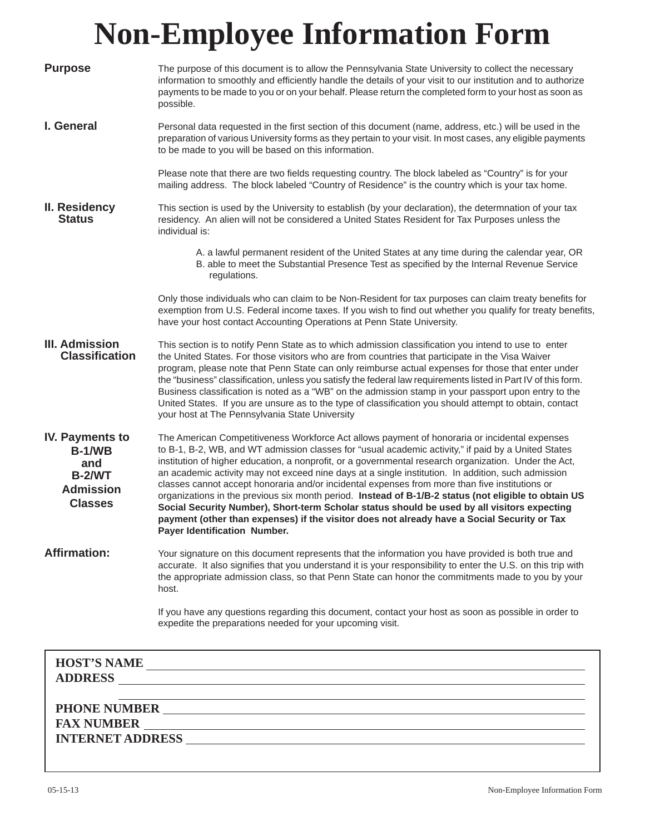## **Non-Employee Information Form**

| <b>Purpose</b>                                                                                        | The purpose of this document is to allow the Pennsylvania State University to collect the necessary<br>information to smoothly and efficiently handle the details of your visit to our institution and to authorize<br>payments to be made to you or on your behalf. Please return the completed form to your host as soon as<br>possible.                                                                                                                                                                                                                                                                                                                                                                                                                                                                                                                  |  |  |  |  |
|-------------------------------------------------------------------------------------------------------|-------------------------------------------------------------------------------------------------------------------------------------------------------------------------------------------------------------------------------------------------------------------------------------------------------------------------------------------------------------------------------------------------------------------------------------------------------------------------------------------------------------------------------------------------------------------------------------------------------------------------------------------------------------------------------------------------------------------------------------------------------------------------------------------------------------------------------------------------------------|--|--|--|--|
| I. General                                                                                            | Personal data requested in the first section of this document (name, address, etc.) will be used in the<br>preparation of various University forms as they pertain to your visit. In most cases, any eligible payments<br>to be made to you will be based on this information.                                                                                                                                                                                                                                                                                                                                                                                                                                                                                                                                                                              |  |  |  |  |
|                                                                                                       | Please note that there are two fields requesting country. The block labeled as "Country" is for your<br>mailing address. The block labeled "Country of Residence" is the country which is your tax home.                                                                                                                                                                                                                                                                                                                                                                                                                                                                                                                                                                                                                                                    |  |  |  |  |
| II. Residency<br><b>Status</b>                                                                        | This section is used by the University to establish (by your declaration), the determnation of your tax<br>residency. An alien will not be considered a United States Resident for Tax Purposes unless the<br>individual is:                                                                                                                                                                                                                                                                                                                                                                                                                                                                                                                                                                                                                                |  |  |  |  |
|                                                                                                       | A. a lawful permanent resident of the United States at any time during the calendar year, OR<br>B. able to meet the Substantial Presence Test as specified by the Internal Revenue Service<br>regulations.                                                                                                                                                                                                                                                                                                                                                                                                                                                                                                                                                                                                                                                  |  |  |  |  |
|                                                                                                       | Only those individuals who can claim to be Non-Resident for tax purposes can claim treaty benefits for<br>exemption from U.S. Federal income taxes. If you wish to find out whether you qualify for treaty benefits,<br>have your host contact Accounting Operations at Penn State University.                                                                                                                                                                                                                                                                                                                                                                                                                                                                                                                                                              |  |  |  |  |
| <b>III. Admission</b><br><b>Classification</b>                                                        | This section is to notify Penn State as to which admission classification you intend to use to enter<br>the United States. For those visitors who are from countries that participate in the Visa Waiver<br>program, please note that Penn State can only reimburse actual expenses for those that enter under<br>the "business" classification, unless you satisfy the federal law requirements listed in Part IV of this form.<br>Business classification is noted as a "WB" on the admission stamp in your passport upon entry to the<br>United States. If you are unsure as to the type of classification you should attempt to obtain, contact<br>your host at The Pennsylvania State University                                                                                                                                                       |  |  |  |  |
| <b>IV. Payments to</b><br><b>B-1/WB</b><br>and<br><b>B-2/WT</b><br><b>Admission</b><br><b>Classes</b> | The American Competitiveness Workforce Act allows payment of honoraria or incidental expenses<br>to B-1, B-2, WB, and WT admission classes for "usual academic activity," if paid by a United States<br>institution of higher education, a nonprofit, or a governmental research organization. Under the Act,<br>an academic activity may not exceed nine days at a single institution. In addition, such admission<br>classes cannot accept honoraria and/or incidental expenses from more than five institutions or<br>organizations in the previous six month period. Instead of B-1/B-2 status (not eligible to obtain US<br>Social Security Number), Short-term Scholar status should be used by all visitors expecting<br>payment (other than expenses) if the visitor does not already have a Social Security or Tax<br>Payer Identification Number. |  |  |  |  |
| <b>Affirmation:</b>                                                                                   | Your signature on this document represents that the information you have provided is both true and<br>accurate. It also signifies that you understand it is your responsibility to enter the U.S. on this trip with<br>the appropriate admission class, so that Penn State can honor the commitments made to you by your<br>host.                                                                                                                                                                                                                                                                                                                                                                                                                                                                                                                           |  |  |  |  |
|                                                                                                       | If you have any questions regarding this document, contact your host as soon as possible in order to<br>expedite the preparations needed for your upcoming visit.                                                                                                                                                                                                                                                                                                                                                                                                                                                                                                                                                                                                                                                                                           |  |  |  |  |
|                                                                                                       | HOST'S NAME                                                                                                                                                                                                                                                                                                                                                                                                                                                                                                                                                                                                                                                                                                                                                                                                                                                 |  |  |  |  |
|                                                                                                       | ,我们也不能在这里的时候,我们也不能会在这里,我们也不能会在这里的时候,我们也不能会在这里的时候,我们也不能会在这里的时候,我们也不能会在这里的时候,我们也不能<br>PHONE NUMBER                                                                                                                                                                                                                                                                                                                                                                                                                                                                                                                                                                                                                                                                                                                                                            |  |  |  |  |
|                                                                                                       |                                                                                                                                                                                                                                                                                                                                                                                                                                                                                                                                                                                                                                                                                                                                                                                                                                                             |  |  |  |  |
|                                                                                                       |                                                                                                                                                                                                                                                                                                                                                                                                                                                                                                                                                                                                                                                                                                                                                                                                                                                             |  |  |  |  |
|                                                                                                       |                                                                                                                                                                                                                                                                                                                                                                                                                                                                                                                                                                                                                                                                                                                                                                                                                                                             |  |  |  |  |